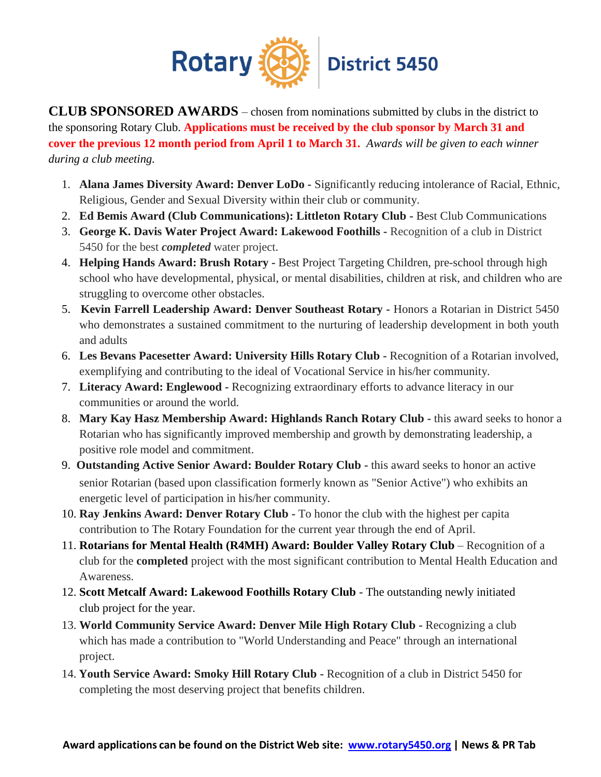

**CLUB SPONSORED AWARDS** – chosen from nominations submitted by clubs in the district to the sponsoring Rotary Club. **Applications must be received by the club sponsor by March 31 and cover the previous 12 month period from April 1 to March 31.** *Awards will be given to each winner during a club meeting.*

- 1. **Alana James Diversity Award: Denver LoDo -** Significantly reducing intolerance of Racial, Ethnic, Religious, Gender and Sexual Diversity within their club or community.
- 2. **Ed Bemis Award (Club Communications): Littleton Rotary Club -** Best Club Communications
- 3. **George K. Davis Water Project Award: Lakewood Foothills -** Recognition of a club in District 5450 for the best *completed* water project.
- 4. **Helping Hands Award: Brush Rotary -** Best Project Targeting Children, pre-school through high school who have developmental, physical, or mental disabilities, children at risk, and children who are struggling to overcome other obstacles.
- 5. **Kevin Farrell Leadership Award: Denver Southeast Rotary -** Honors a Rotarian in District 5450 who demonstrates a sustained commitment to the nurturing of leadership development in both youth and adults
- 6. **Les Bevans Pacesetter Award: University Hills Rotary Club -** Recognition of a Rotarian involved, exemplifying and contributing to the ideal of Vocational Service in his/her community.
- 7. **Literacy Award: Englewood -** Recognizing extraordinary efforts to advance literacy in our communities or around the world.
- 8. **Mary Kay Hasz Membership Award: Highlands Ranch Rotary Club -** this award seeks to honor a Rotarian who has significantly improved membership and growth by demonstrating leadership, a positive role model and commitment.
- 9. **Outstanding Active Senior Award: Boulder Rotary Club -** this award seeks to honor an active senior Rotarian (based upon classification formerly known as "Senior Active") who exhibits an energetic level of participation in his/her community.
- 10. **Ray Jenkins Award: Denver Rotary Club -** To honor the club with the highest per capita contribution to The Rotary Foundation for the current year through the end of April.
- 11. **Rotarians for Mental Health (R4MH) Award: Boulder Valley Rotary Club** Recognition of a club for the **completed** project with the most significant contribution to Mental Health Education and Awareness.
- 12. **Scott Metcalf Award: Lakewood Foothills Rotary Club** The outstanding newly initiated club project for the year.
- 13. **World Community Service Award: Denver Mile High Rotary Club -** Recognizing a club which has made a contribution to "World Understanding and Peace" through an international project.
- 14. **Youth Service Award: Smoky Hill Rotary Club -** Recognition of a club in District 5450 for completing the most deserving project that benefits children.